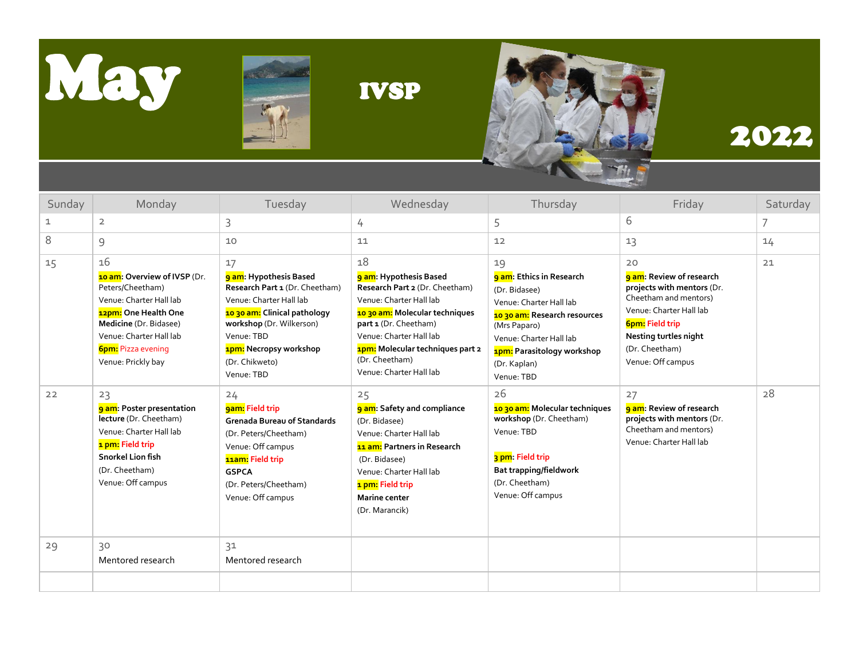





## 2022

| Sunday      | Monday                                                                                                                                                                                                                   | Tuesday                                                                                                                                                                                                                       | Wednesday                                                                                                                                                                                                                                                       | Thursday                                                                                                                                                                                                                | Friday                                                                                                                                                                                                            | Saturday |
|-------------|--------------------------------------------------------------------------------------------------------------------------------------------------------------------------------------------------------------------------|-------------------------------------------------------------------------------------------------------------------------------------------------------------------------------------------------------------------------------|-----------------------------------------------------------------------------------------------------------------------------------------------------------------------------------------------------------------------------------------------------------------|-------------------------------------------------------------------------------------------------------------------------------------------------------------------------------------------------------------------------|-------------------------------------------------------------------------------------------------------------------------------------------------------------------------------------------------------------------|----------|
| $\mathbf 1$ | $\overline{2}$                                                                                                                                                                                                           | 3                                                                                                                                                                                                                             | 4                                                                                                                                                                                                                                                               | 5                                                                                                                                                                                                                       | 6                                                                                                                                                                                                                 | 7        |
| 8           | 9                                                                                                                                                                                                                        | 10                                                                                                                                                                                                                            | 11                                                                                                                                                                                                                                                              | 12                                                                                                                                                                                                                      | 13                                                                                                                                                                                                                | 14       |
| 15          | 16<br><b>10 am: Overview of IVSP (Dr.</b><br>Peters/Cheetham)<br>Venue: Charter Hall lab<br>12pm: One Health One<br>Medicine (Dr. Bidasee)<br>Venue: Charter Hall lab<br><b>6pm:</b> Pizza evening<br>Venue: Prickly bay | 17<br>9 am: Hypothesis Based<br>Research Part 1 (Dr. Cheetham)<br>Venue: Charter Hall lab<br>10 30 am: Clinical pathology<br>workshop (Dr. Wilkerson)<br>Venue: TBD<br>1pm: Necropsy workshop<br>(Dr. Chikweto)<br>Venue: TBD | 18<br>9 am: Hypothesis Based<br>Research Part 2 (Dr. Cheetham)<br>Venue: Charter Hall lab<br>1030 am: Molecular techniques<br>part 1 (Dr. Cheetham)<br>Venue: Charter Hall lab<br>1pm: Molecular techniques part 2<br>(Dr. Cheetham)<br>Venue: Charter Hall lab | 19<br>9 am: Ethics in Research<br>(Dr. Bidasee)<br>Venue: Charter Hall lab<br>1030 am: Research resources<br>(Mrs Paparo)<br>Venue: Charter Hall lab<br><b>1pm:</b> Parasitology workshop<br>(Dr. Kaplan)<br>Venue: TBD | 20<br><b>9 am:</b> Review of research<br>projects with mentors (Dr.<br>Cheetham and mentors)<br>Venue: Charter Hall lab<br><b>6pm:</b> Field trip<br>Nesting turtles night<br>(Dr. Cheetham)<br>Venue: Off campus | 21       |
| 22          | 23<br><b>9 am: Poster presentation</b><br>lecture (Dr. Cheetham)<br>Venue: Charter Hall lab<br>1 pm: Field trip<br>Snorkel Lion fish<br>(Dr. Cheetham)<br>Venue: Off campus                                              | 24<br>gam: Field trip<br><b>Grenada Bureau of Standards</b><br>(Dr. Peters/Cheetham)<br>Venue: Off campus<br>11am: Field trip<br><b>GSPCA</b><br>(Dr. Peters/Cheetham)<br>Venue: Off campus                                   | 25<br>9 am: Safety and compliance<br>(Dr. Bidasee)<br>Venue: Charter Hall lab<br><b>11 am:</b> Partners in Research<br>(Dr. Bidasee)<br>Venue: Charter Hall lab<br>1 pm: Field trip<br><b>Marine center</b><br>(Dr. Marancik)                                   | 26<br>10 30 am: Molecular techniques<br>workshop (Dr. Cheetham)<br>Venue: TBD<br>3 pm: Field trip<br><b>Bat trapping/fieldwork</b><br>(Dr. Cheetham)<br>Venue: Off campus                                               | 27<br><b>9 am:</b> Review of research<br>projects with mentors (Dr.<br>Cheetham and mentors)<br>Venue: Charter Hall lab                                                                                           | 28       |
| 29          | 30<br>Mentored research                                                                                                                                                                                                  | 31<br>Mentored research                                                                                                                                                                                                       |                                                                                                                                                                                                                                                                 |                                                                                                                                                                                                                         |                                                                                                                                                                                                                   |          |
|             |                                                                                                                                                                                                                          |                                                                                                                                                                                                                               |                                                                                                                                                                                                                                                                 |                                                                                                                                                                                                                         |                                                                                                                                                                                                                   |          |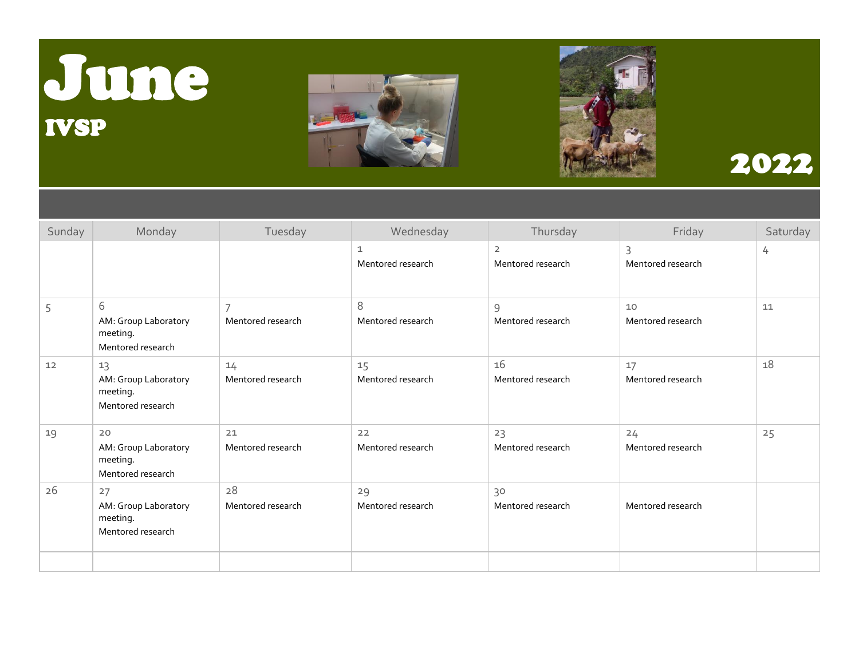# June IVSP





### 2022

| Sunday | Monday                                                      | Tuesday                 | Wednesday                         | Thursday                            | Friday                  | Saturday |
|--------|-------------------------------------------------------------|-------------------------|-----------------------------------|-------------------------------------|-------------------------|----------|
|        |                                                             |                         | $\mathbf{1}$<br>Mentored research | $\overline{2}$<br>Mentored research | 3<br>Mentored research  | 4        |
| 5      | 6<br>AM: Group Laboratory<br>meeting.<br>Mentored research  | 7<br>Mentored research  | 8<br>Mentored research            | 9<br>Mentored research              | 10<br>Mentored research | 11       |
| 12     | 13<br>AM: Group Laboratory<br>meeting.<br>Mentored research | 14<br>Mentored research | 15<br>Mentored research           | 16<br>Mentored research             | 17<br>Mentored research | 18       |
| 19     | 20<br>AM: Group Laboratory<br>meeting.<br>Mentored research | 21<br>Mentored research | 22<br>Mentored research           | 23<br>Mentored research             | 24<br>Mentored research | 25       |
| 26     | 27<br>AM: Group Laboratory<br>meeting.<br>Mentored research | 28<br>Mentored research | 29<br>Mentored research           | 30<br>Mentored research             | Mentored research       |          |
|        |                                                             |                         |                                   |                                     |                         |          |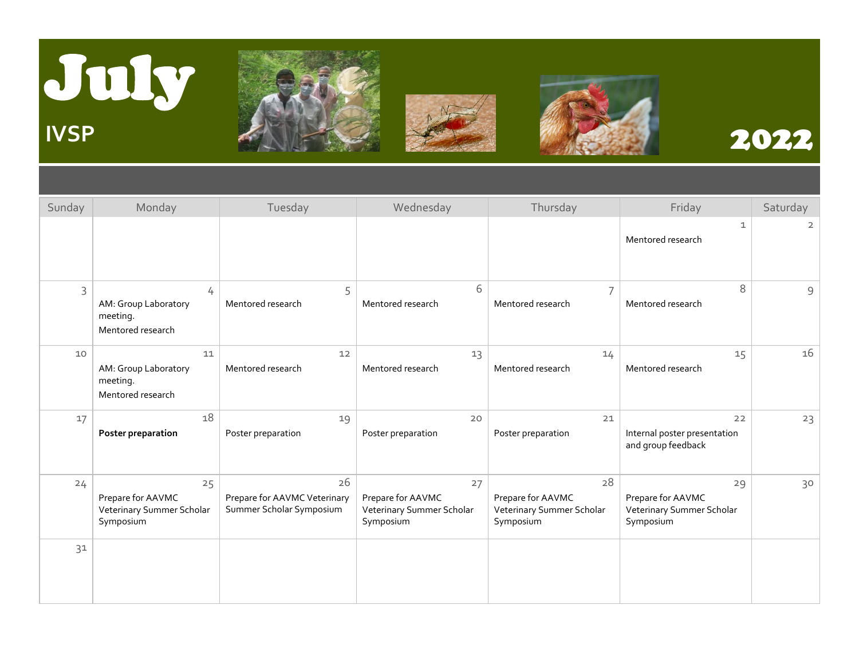







| Sunday | Monday                                                            | Tuesday                                                        | Wednesday                                                         | Thursday                                                          | Friday                                                            | Saturday       |
|--------|-------------------------------------------------------------------|----------------------------------------------------------------|-------------------------------------------------------------------|-------------------------------------------------------------------|-------------------------------------------------------------------|----------------|
|        |                                                                   |                                                                |                                                                   |                                                                   | 1<br>Mentored research                                            | $\overline{2}$ |
| 3      | 4<br>AM: Group Laboratory<br>meeting.<br>Mentored research        | 5<br>Mentored research                                         | 6<br>Mentored research                                            | $\overline{7}$<br>Mentored research                               | 8<br>Mentored research                                            | 9              |
| 10     | 11<br>AM: Group Laboratory<br>meeting.<br>Mentored research       | 12<br>Mentored research                                        | 13<br>Mentored research                                           | 14<br>Mentored research                                           | 15<br>Mentored research                                           | 16             |
| 17     | 18<br>Poster preparation                                          | 19<br>Poster preparation                                       | 20<br>Poster preparation                                          | 21<br>Poster preparation                                          | 22<br>Internal poster presentation<br>and group feedback          | 23             |
| 24     | 25<br>Prepare for AAVMC<br>Veterinary Summer Scholar<br>Symposium | 26<br>Prepare for AAVMC Veterinary<br>Summer Scholar Symposium | 27<br>Prepare for AAVMC<br>Veterinary Summer Scholar<br>Symposium | 28<br>Prepare for AAVMC<br>Veterinary Summer Scholar<br>Symposium | 29<br>Prepare for AAVMC<br>Veterinary Summer Scholar<br>Symposium | 30             |
| 31     |                                                                   |                                                                |                                                                   |                                                                   |                                                                   |                |